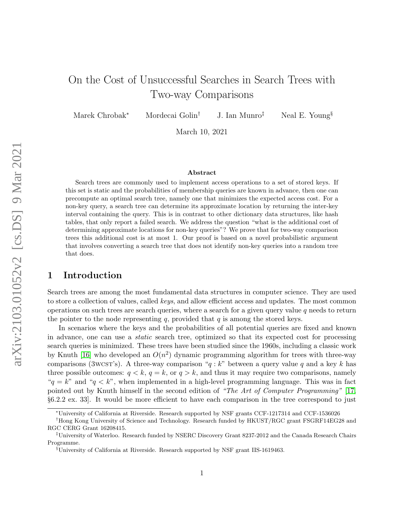# On the Cost of Unsuccessful Searches in Search Trees with Two-way Comparisons

Marek Chrobak<sup>∗</sup> Mordecai Golin† J. Ian Munro‡ Neal E. Young§

March 10, 2021

#### Abstract

Search trees are commonly used to implement access operations to a set of stored keys. If this set is static and the probabilities of membership queries are known in advance, then one can precompute an optimal search tree, namely one that minimizes the expected access cost. For a non-key query, a search tree can determine its approximate location by returning the inter-key interval containing the query. This is in contrast to other dictionary data structures, like hash tables, that only report a failed search. We address the question "what is the additional cost of determining approximate locations for non-key queries"? We prove that for two-way comparison trees this additional cost is at most 1. Our proof is based on a novel probabilistic argument that involves converting a search tree that does not identify non-key queries into a random tree that does.

### 1 Introduction

Search trees are among the most fundamental data structures in computer science. They are used to store a collection of values, called keys, and allow efficient access and updates. The most common operations on such trees are search queries, where a search for a given query value  $q$  needs to return the pointer to the node representing  $q$ , provided that  $q$  is among the stored keys.

In scenarios where the keys and the probabilities of all potential queries are fixed and known in advance, one can use a static search tree, optimized so that its expected cost for processing search queries is minimized. These trees have been studied since the 1960s, including a classic work by Knuth [\[16\]](#page-12-0) who developed an  $O(n^2)$  dynamic programming algorithm for trees with three-way comparisons (3wcst's). A three-way comparison " $q : k$ " between a query value q and a key k has three possible outcomes:  $q < k$ ,  $q = k$ , or  $q > k$ , and thus it may require two comparisons, namely " $q = k$ " and " $q < k$ ", when implemented in a high-level programming language. This was in fact pointed out by Knuth himself in the second edition of "The Art of Computer Programming" [\[17,](#page-12-1) §6.2.2 ex. 33]. It would be more efficient to have each comparison in the tree correspond to just

<sup>∗</sup>University of California at Riverside. Research supported by NSF grants CCF-1217314 and CCF-1536026

<sup>†</sup>Hong Kong University of Science and Technology. Research funded by HKUST/RGC grant FSGRF14EG28 and RGC CERG Grant 16208415.

<sup>‡</sup>University of Waterloo. Research funded by NSERC Discovery Grant 8237-2012 and the Canada Research Chairs Programme.

<sup>§</sup>University of California at Riverside. Research supported by NSF grant IIS-1619463.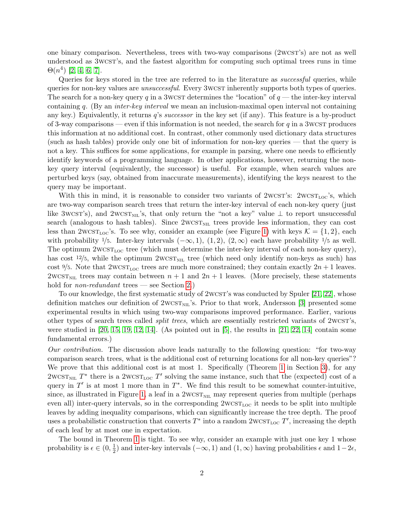one binary comparison. Nevertheless, trees with two-way comparisons (2wcst's) are not as well understood as 3wcst's, and the fastest algorithm for computing such optimal trees runs in time  $\Theta(n^4)$  [\[2,](#page-11-0) [4,](#page-11-1) [6,](#page-11-2) [7\]](#page-11-3).

Queries for keys stored in the tree are referred to in the literature as *successful* queries, while queries for non-key values are *unsuccessful*. Every 3wcst inherently supports both types of queries. The search for a non-key query q in a 3wcst determines the "location" of  $q$  — the inter-key interval containing q. (By an inter-key interval we mean an inclusion-maximal open interval not containing any key.) Equivalently, it returns  $q$ 's *successor* in the key set (if any). This feature is a by-product of 3-way comparisons — even if this information is not needed, the search for  $q$  in a 3WCST produces this information at no additional cost. In contrast, other commonly used dictionary data structures (such as hash tables) provide only one bit of information for non-key queries — that the query is not a key. This suffices for some applications, for example in parsing, where one needs to efficiently identify keywords of a programming language. In other applications, however, returning the nonkey query interval (equivalently, the successor) is useful. For example, when search values are perturbed keys (say, obtained from inaccurate measurements), identifying the keys nearest to the query may be important.

With this in mind, it is reasonable to consider two variants of  $2wcsT_{\text{S}}$ :  $2wcsT_{\text{loc}}$ 's, which are two-way comparison search trees that return the inter-key interval of each non-key query (just like 3wcst's), and 2wcst<sub>NIL</sub>'s, that only return the "not a key" value  $\perp$  to report unsuccessful search (analogous to hash tables). Since  $2WCST<sub>NIL</sub>$  trees provide less information, they can cost less than  $2wcsr_{\text{loc}}$ 's. To see why, consider an example (see Figure [1\)](#page-2-0) with keys  $\mathcal{K} = \{1, 2\}$ , each with probability 1/5. Inter-key intervals  $(-\infty, 1)$ ,  $(1, 2)$ ,  $(2, \infty)$  each have probability 1/5 as well. The optimum  $2WCST_{LOC}$  tree (which must determine the inter-key interval of each non-key query), has cost  $12/5$ , while the optimum  $2West_{NIL}$  tree (which need only identify non-keys as such) has cost  $\frac{9}{5}$ . Note that  $2WCST_{LOC}$  trees are much more constrained; they contain exactly  $2n+1$  leaves. 2WCST<sub>NIL</sub> trees may contain between  $n + 1$  and  $2n + 1$  leaves. (More precisely, these statements hold for *non-redundant* trees — see Section [2.](#page-3-0))

To our knowledge, the first systematic study of 2wcs T's was conducted by Spuler [\[21,](#page-12-2) [22\]](#page-12-3), whose definition matches our definition of  $2wcsr_{\text{NL}}$ 's. Prior to that work, Andersson [\[3\]](#page-11-4) presented some experimental results in which using two-way comparisons improved performance. Earlier, various other types of search trees called split trees, which are essentially restricted variants of 2wcst's, were studied in  $[20, 15, 19, 12, 14]$  $[20, 15, 19, 12, 14]$  $[20, 15, 19, 12, 14]$  $[20, 15, 19, 12, 14]$  $[20, 15, 19, 12, 14]$ . (As pointed out in  $[5]$ , the results in  $[21, 22, 14]$  $[21, 22, 14]$  $[21, 22, 14]$  contain some fundamental errors.)

Our contribution. The discussion above leads naturally to the following question: "for two-way comparison search trees, what is the additional cost of returning locations for all non-key queries"? We prove that this additional cost is at most [1](#page-4-0). Specifically (Theorem 1 in Section [3\)](#page-4-1), for any 2WCST<sub>NIL</sub>  $T^*$  there is a 2WCST<sub>LOC</sub>  $T'$  solving the same instance, such that the (expected) cost of a query in  $T'$  is at most 1 more than in  $T^*$ . We find this result to be somewhat counter-intuitive, since, as illustrated in Figure [1,](#page-2-0) a leaf in a  $2W\text{CST}_{\text{NIL}}$  may represent queries from multiple (perhaps even all) inter-query intervals, so in the corresponding  $2WCST<sub>LOC</sub>$  it needs to be split into multiple leaves by adding inequality comparisons, which can significantly increase the tree depth. The proof uses a probabilistic construction that converts  $T^*$  into a random  $2{\rm WCST}_{\rm LOC}$   $T'$ , increasing the depth of each leaf by at most one in expectation.

The bound in Theorem [1](#page-4-0) is tight. To see why, consider an example with just one key 1 whose probability is  $\epsilon \in (0, \frac{1}{2})$  $\frac{1}{2}$ ) and inter-key intervals  $(-\infty, 1)$  and  $(1, \infty)$  having probabilities  $\epsilon$  and  $1-2\epsilon$ ,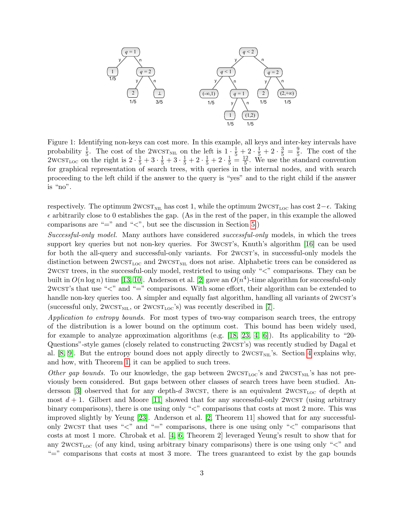

<span id="page-2-0"></span>Figure 1: Identifying non-keys can cost more. In this example, all keys and inter-key intervals have probability  $\frac{1}{5}$ . The cost of the 2wcst<sub>NIL</sub> on the left is  $1 \cdot \frac{1}{5} + 2 \cdot \frac{1}{5} + 2 \cdot \frac{3}{5} = \frac{9}{5}$  $\frac{9}{5}$ . The cost of the 2wcs $T_{\text{LOC}}$  on the right is  $2 \cdot \frac{1}{5} + 3 \cdot \frac{1}{5} + 3 \cdot \frac{1}{5} + 2 \cdot \frac{1}{5} + 2 \cdot \frac{1}{5} = \frac{12}{5}$  $\frac{12}{5}$ . We use the standard convention for graphical representation of search trees, with queries in the internal nodes, and with search proceeding to the left child if the answer to the query is "yes" and to the right child if the answer is "no".

respectively. The optimum 2wcst<sub>NIL</sub> has cost 1, while the optimum 2wcst<sub>Loc</sub> has cost 2− $\epsilon$ . Taking  $\epsilon$  arbitrarily close to 0 establishes the gap. (As in the rest of the paper, in this example the allowed comparisons are "=" and "<", but see the discussion in Section [5.](#page-10-0))

Successful-only model. Many authors have considered successful-only models, in which the trees support key queries but not non-key queries. For 3wcs T's, Knuth's algorithm [\[16\]](#page-12-0) can be used for both the all-query and successful-only variants. For 2wcs T's, in successful-only models the distinction between  $2WCST_{\text{LOC}}$  and  $2WCST_{\text{NL}}$  does not arise. Alphabetic trees can be considered as 2wcst trees, in the successful-only model, restricted to using only "<" comparisons. They can be built in  $O(n \log n)$  time [\[13,](#page-11-7) [10\]](#page-11-8). Anderson et al. [\[2\]](#page-11-0) gave an  $O(n^4)$ -time algorithm for successful-only 2wcst is that use " $\lt$ " and " $\equiv$ " comparisons. With some effort, their algorithm can be extended to handle non-key queries too. A simpler and equally fast algorithm, handling all variants of 2wcsT's (successful only,  $2WCST<sub>NIL</sub>$ , or  $2WCST<sub>LOC</sub>'s$ ) was recently described in [\[7\]](#page-11-3).

Application to entropy bounds. For most types of two-way comparison search trees, the entropy of the distribution is a lower bound on the optimum cost. This bound has been widely used, for example to analyze approximation algorithms (e.g.  $[18, 23, 4, 6]$  $[18, 23, 4, 6]$  $[18, 23, 4, 6]$  $[18, 23, 4, 6]$ ). Its applicability to "20-Questions"-style games (closely related to constructing 2wcst's) was recently studied by Dagal et al. [\[8,](#page-11-9) [9\]](#page-11-10). But the entropy bound does not apply directly to  $2West_{NIL}$ 's. Section [4](#page-9-0) explains why, and how, with Theorem [1,](#page-4-0) it can be applied to such trees.

Other gap bounds. To our knowledge, the gap between  $2WCST_{\text{LOC}}$ 's and  $2WCST_{\text{NIL}}$ 's has not previously been considered. But gaps between other classes of search trees have been studied. An-dersson [\[3\]](#page-11-4) observed that for any depth-d 3wcst, there is an equivalent  $2wcs_{\text{Loc}}$  of depth at most  $d+1$ . Gilbert and Moore [\[11\]](#page-11-11) showed that for any successful-only 2wcst (using arbitrary binary comparisons), there is one using only " $\lt$ " comparisons that costs at most 2 more. This was improved slightly by Yeung [\[23\]](#page-12-9). Anderson et al. [\[2,](#page-11-0) Theorem 11] showed that for any successfulonly 2wcst that uses " $\lt$ " and "=" comparisons, there is one using only " $\lt$ " comparisons that costs at most 1 more. Chrobak et al. [\[4,](#page-11-1) [6,](#page-11-2) Theorem 2] leveraged Yeung's result to show that for any 2wcs $T_{\text{LOC}}$  (of any kind, using arbitrary binary comparisons) there is one using only " $\lt$ " and "=" comparisons that costs at most 3 more. The trees guaranteed to exist by the gap bounds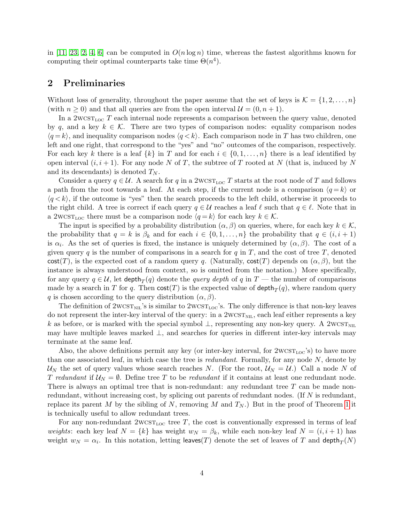in [\[11,](#page-11-11) [23,](#page-12-9) [2,](#page-11-0) [4,](#page-11-1) [6\]](#page-11-2) can be computed in  $O(n \log n)$  time, whereas the fastest algorithms known for computing their optimal counterparts take time  $\Theta(n^4)$ .

#### <span id="page-3-0"></span>2 Preliminaries

Without loss of generality, throughout the paper assume that the set of keys is  $\mathcal{K} = \{1, 2, \ldots, n\}$ (with  $n \geq 0$ ) and that all queries are from the open interval  $\mathcal{U} = (0, n + 1)$ .

In a  $2WCST_{LOC}$  T each internal node represents a comparison between the query value, denoted by q, and a key  $k \in \mathcal{K}$ . There are two types of comparison nodes: equality comparison nodes  $\langle q = k \rangle$ , and inequality comparison nodes  $\langle q \langle k \rangle$ . Each comparison node in T has two children, one left and one right, that correspond to the "yes" and "no" outcomes of the comparison, respectively. For each key k there is a leaf  $\{k\}$  in T and for each  $i \in \{0, 1, \ldots, n\}$  there is a leaf identified by open interval  $(i, i + 1)$ . For any node N of T, the subtree of T rooted at N (that is, induced by N and its descendants) is denoted  $T_N$ .

Consider a query  $q \in \mathcal{U}$ . A search for q in a 2wcs $T_{\text{LOC}} T$  starts at the root node of T and follows a path from the root towards a leaf. At each step, if the current node is a comparison  $\langle q = k \rangle$  or  $\langle q\langle k\rangle$ , if the outcome is "yes" then the search proceeds to the left child, otherwise it proceeds to the right child. A tree is correct if each query  $q \in \mathcal{U}$  reaches a leaf  $\ell$  such that  $q \in \ell$ . Note that in a 2wcs $T_{\text{LOC}}$  there must be a comparison node  $\langle q = k \rangle$  for each key  $k \in \mathcal{K}$ .

The input is specified by a probability distribution  $(\alpha, \beta)$  on queries, where, for each key  $k \in \mathcal{K}$ , the probability that  $q = k$  is  $\beta_k$  and for each  $i \in \{0, 1, \ldots, n\}$  the probability that  $q \in (i, i + 1)$ is  $\alpha_i$ . As the set of queries is fixed, the instance is uniquely determined by  $(\alpha, \beta)$ . The cost of a given query q is the number of comparisons in a search for q in T, and the cost of tree T, denoted cost(T), is the expected cost of a random query q. (Naturally, cost(T) depends on  $(\alpha, \beta)$ , but the instance is always understood from context, so is omitted from the notation.) More specifically, for any query  $q \in \mathcal{U}$ , let  $\mathsf{depth}_T(q)$  denote the *query depth* of  $q$  in  $T$  — the number of comparisons made by a search in  $T$  for  $q$ . Then  $\mathsf{cost}(T)$  is the expected value of  $\mathsf{depth}_T(q)$ , where random query q is chosen according to the query distribution  $(\alpha, \beta)$ .

The definition of  $2WCST<sub>NIL</sub>'s$  is similar to  $2WCST<sub>LOC</sub>'s$ . The only difference is that non-key leaves do not represent the inter-key interval of the query: in a  $2West_{NIL}$ , each leaf either represents a key k as before, or is marked with the special symbol  $\perp$ , representing any non-key query. A 2wcs $T_{\text{NIL}}$ may have multiple leaves marked  $\perp$ , and searches for queries in different inter-key intervals may terminate at the same leaf.

Also, the above definitions permit any key (or inter-key interval, for  $2wcsr_{\text{loc}}$ 's) to have more than one associated leaf, in which case the tree is *redundant*. Formally, for any node  $N$ , denote by  $U_N$  the set of query values whose search reaches N. (For the root,  $U_N = U$ .) Call a node N of T redundant if  $U_N = \emptyset$ . Define tree T to be redundant if it contains at least one redundant node. There is always an optimal tree that is non-redundant: any redundant tree  $T$  can be made nonredundant, without increasing cost, by splicing out parents of redundant nodes. (If  $N$  is redundant, replace its parent M by the sibling of N, removing M and  $T_N$ .) But in the proof of Theorem [1](#page-4-0) it is technically useful to allow redundant trees.

For any non-redundant  $2WCST_{\text{LOC}}$  tree T, the cost is conventionally expressed in terms of leaf weights: each key leaf  $N = \{k\}$  has weight  $w_N = \beta_k$ , while each non-key leaf  $N = (i, i + 1)$  has weight  $w_N = \alpha_i$ . In this notation, letting leaves(T) denote the set of leaves of T and  $\mathsf{depth}_T(N)$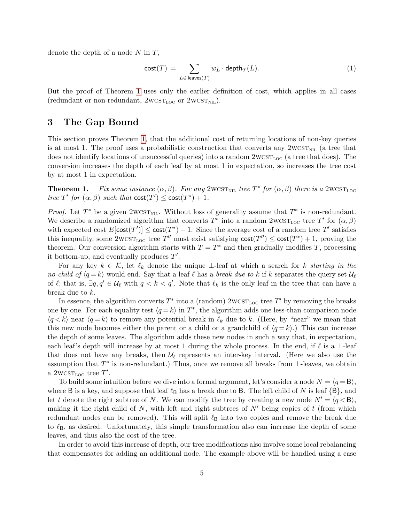denote the depth of a node  $N$  in  $T$ ,

$$
\mathsf{cost}(T) \ = \ \sum_{L \in \ \mathsf{leaves}(T)} w_L \cdot \mathsf{depth}_T(L). \tag{1}
$$

But the proof of Theorem [1](#page-4-0) uses only the earlier definition of cost, which applies in all cases (redundant or non-redundant,  $2WCST_{LOC}$  or  $2WCST_{NIL}$ ).

#### <span id="page-4-1"></span>3 The Gap Bound

This section proves Theorem [1,](#page-4-0) that the additional cost of returning locations of non-key queries is at most 1. The proof uses a probabilistic construction that converts any  $2WCST<sub>NIL</sub>$  (a tree that does not identify locations of unsuccessful queries) into a random  $2wcs_{\text{Loc}}$  (a tree that does). The conversion increases the depth of each leaf by at most 1 in expectation, so increases the tree cost by at most 1 in expectation.

<span id="page-4-0"></span>**Theorem 1.** Fix some instance  $(\alpha, \beta)$ . For any 2WCST<sub>NIL</sub> tree  $T^*$  for  $(\alpha, \beta)$  there is a 2WCST<sub>LOC</sub> tree T' for  $(\alpha, \beta)$  such that  $cost(T') \leq cost(T^*) + 1$ .

*Proof.* Let  $T^*$  be a given  $2WCST_{\text{NIL}}$ . Without loss of generality assume that  $T^*$  is non-redundant. We describe a randomized algorithm that converts  $T^*$  into a random  $2{\rm WCST}_{\rm LOC}$  tree  $T'$  for  $(\alpha, \beta)$ with expected cost  $E[\text{cost}(T')] \le \text{cost}(T^*) + 1$ . Since the average cost of a random tree T' satisfies this inequality, some  $2\text{WCST}_{\text{LOC}}$  tree T'' must exist satisfying  $\text{cost}(T'') \leq \text{cost}(T^*) + 1$ , proving the theorem. Our conversion algorithm starts with  $T = T^*$  and then gradually modifies T, processing it bottom-up, and eventually produces  $T'$ .

For any key  $k \in \mathcal{K}$ , let  $\ell_k$  denote the unique ⊥-leaf at which a search for k starting in the no-child of  $\langle q = k \rangle$  would end. Say that a leaf  $\ell$  has a break due to k if k separates the query set  $\mathcal{U}_{\ell}$ of  $\ell$ ; that is,  $\exists q, q' \in \mathcal{U}_{\ell}$  with  $q < k < q'$ . Note that  $\ell_k$  is the only leaf in the tree that can have a break due to k.

In essence, the algorithm converts  $T^*$  into a (random)  $2{\rm WCST_{LOC}}$  tree  $T'$  by removing the breaks one by one. For each equality test  $\langle q = k \rangle$  in  $T^*$ , the algorithm adds one less-than comparison node  $\langle q \langle k \rangle$  near  $\langle q = k \rangle$  to remove any potential break in  $\ell_k$  due to k. (Here, by "near" we mean that this new node becomes either the parent or a child or a grandchild of  $\langle q = k \rangle$ .) This can increase the depth of some leaves. The algorithm adds these new nodes in such a way that, in expectation, each leaf's depth will increase by at most 1 during the whole process. In the end, if  $\ell$  is a ⊥-leaf that does not have any breaks, then  $\mathcal{U}_{\ell}$  represents an inter-key interval. (Here we also use the assumption that  $T^*$  is non-redundant.) Thus, once we remove all breaks from  $\bot$ -leaves, we obtain a  $2WCST_{LOC}$  tree T'.

To build some intuition before we dive into a formal argument, let's consider a node  $N = \langle q = \mathsf{B} \rangle$ , where B is a key, and suppose that leaf  $\ell_{\mathsf{B}}$  has a break due to B. The left child of N is leaf  $\{\mathsf{B}\}\$ , and let t denote the right subtree of N. We can modify the tree by creating a new node  $N' = \langle q \langle B \rangle$ , making it the right child of N, with left and right subtrees of  $N'$  being copies of t (from which redundant nodes can be removed). This will split  $\ell_{\rm B}$  into two copies and remove the break due to  $\ell_{\rm B}$ , as desired. Unfortunately, this simple transformation also can increase the depth of some leaves, and thus also the cost of the tree.

In order to avoid this increase of depth, our tree modifications also involve some local rebalancing that compensates for adding an additional node. The example above will be handled using a case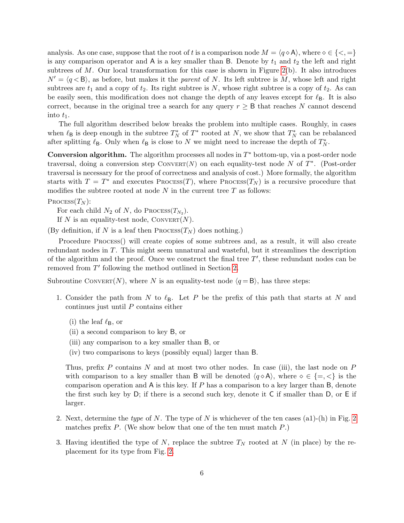analysis. As one case, suppose that the root of t is a comparison node  $M = \langle q \circ A \rangle$ , where  $\circ \in \{ \leq, = \}$ is any comparison operator and A is a key smaller than B. Denote by  $t_1$  and  $t_2$  the left and right subtrees of  $M$ . Our local transformation for this case is shown in Figure [2\(](#page-6-0)b). It also introduces  $N' = \langle q \langle B \rangle$ , as before, but makes it the *parent* of N. Its left subtree is M, whose left and right subtrees are  $t_1$  and a copy of  $t_2$ . Its right subtree is N, whose right subtree is a copy of  $t_2$ . As can be easily seen, this modification does not change the depth of any leaves except for  $\ell_{\rm B}$ . It is also correct, because in the original tree a search for any query  $r \geq B$  that reaches N cannot descend into  $t_1$ .

The full algorithm described below breaks the problem into multiple cases. Roughly, in cases when  $\ell_{\mathsf{B}}$  is deep enough in the subtree  $T_N^*$  of  $T^*$  rooted at N, we show that  $T_N^*$  can be rebalanced after splitting  $\ell_{\mathsf{B}}$ . Only when  $\ell_{\mathsf{B}}$  is close to N we might need to increase the depth of  $T_N^*$ .

**Conversion algorithm.** The algorithm processes all nodes in  $T^*$  bottom-up, via a post-order node traversal, doing a conversion step  $\text{ConvERT}(N)$  on each equality-test node N of  $T^*$ . (Post-order traversal is necessary for the proof of correctness and analysis of cost.) More formally, the algorithm starts with  $T = T^*$  and executes Process(T), where Process(T<sub>N</sub>) is a recursive procedure that modifies the subtree rooted at node  $N$  in the current tree  $T$  as follows:

$$
\mathrm{Process}(T_N)
$$

For each child  $N_2$  of N, do Process( $T_{N_2}$ ).

If N is an equality-test node,  $ConvERT(N)$ .

(By definition, if N is a leaf then  $\text{Process}(T_N)$  does nothing.)

Procedure Process() will create copies of some subtrees and, as a result, it will also create redundant nodes in T. This might seem unnatural and wasteful, but it streamlines the description of the algorithm and the proof. Once we construct the final tree  $T'$ , these redundant nodes can be removed from  $T'$  following the method outlined in Section [2.](#page-3-0)

Subroutine CONVERT(N), where N is an equality-test node  $\langle q = \mathsf{B} \rangle$ , has three steps:

- <span id="page-5-0"></span>1. Consider the path from N to  $\ell_{\mathsf{B}}$ . Let P be the prefix of this path that starts at N and continues just until P contains either
	- (i) the leaf  $\ell_{\mathsf{B}}$ , or
	- (ii) a second comparison to key B, or
	- (iii) any comparison to a key smaller than B, or
	- (iv) two comparisons to keys (possibly equal) larger than B.

Thus, prefix  $P$  contains  $N$  and at most two other nodes. In case (iii), the last node on  $P$ with comparison to a key smaller than B will be denoted  $\langle q \circ A \rangle$ , where  $\circ \in \{ =, \leq \}$  is the comparison operation and  $A$  is this key. If P has a comparison to a key larger than  $B$ , denote the first such key by D; if there is a second such key, denote it C if smaller than D, or E if larger.

- 2. Next, determine the type of N. The type of N is whichever of the ten cases (a1)-(h) in Fig. [2](#page-6-0) matches prefix  $P$ . (We show below that one of the ten must match  $P$ .)
- <span id="page-5-1"></span>3. Having identified the type of N, replace the subtree  $T<sub>N</sub>$  rooted at N (in place) by the replacement for its type from Fig. [2.](#page-6-0)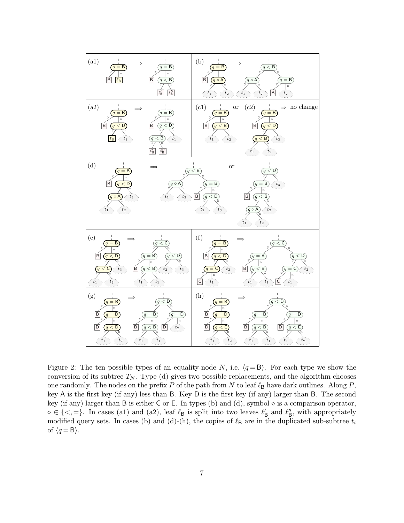

<span id="page-6-0"></span>Figure 2: The ten possible types of an equality-node N, i.e.  $\langle q = \mathsf{B} \rangle$ . For each type we show the conversion of its subtree  $T_N$ . Type (d) gives two possible replacements, and the algorithm chooses one randomly. The nodes on the prefix P of the path from N to leaf  $\ell_{\mathsf{B}}$  have dark outlines. Along P, key A is the first key (if any) less than B. Key D is the first key (if any) larger than B. The second key (if any) larger than B is either C or E. In types (b) and (d), symbol  $\diamond$  is a comparison operator,  $\diamond \in \{<, =\}.$  In cases (a1) and (a2), leaf  $\ell_B$  is split into two leaves  $\ell'_B$  and  $\ell''_B$ , with appropriately modified query sets. In cases (b) and (d)-(h), the copies of  $\ell_{\rm B}$  are in the duplicated sub-subtree  $t_i$ of  $\langle q = \mathsf{B} \rangle$ .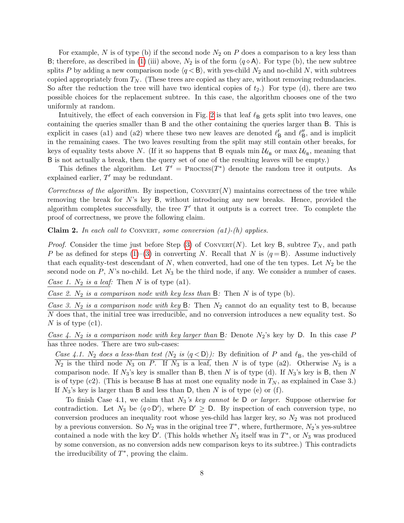For example, N is of type (b) if the second node  $N_2$  on P does a comparison to a key less than B; therefore, as described in [\(1\)](#page-5-0) (iii) above,  $N_2$  is of the form  $\langle q \diamond A \rangle$ . For type (b), the new subtree splits P by adding a new comparison node  $\langle q \langle B \rangle$ , with yes-child  $N_2$  and no-child N, with subtrees copied appropriately from  $T_N$ . (These trees are copied as they are, without removing redundancies. So after the reduction the tree will have two identical copies of  $t_2$ .) For type (d), there are two possible choices for the replacement subtree. In this case, the algorithm chooses one of the two uniformly at random.

Intuitively, the effect of each conversion in Fig. [2](#page-6-0) is that leaf  $\ell_{\rm B}$  gets split into two leaves, one containing the queries smaller than B and the other containing the queries larger than B. This is explicit in cases (a1) and (a2) where these two new leaves are denoted  $\ell'_{\mathsf{B}}$  and  $\ell''_{\mathsf{B}}$ , and is implicit in the remaining cases. The two leaves resulting from the split may still contain other breaks, for keys of equality tests above N. (If it so happens that B equals  $\min \mathcal{U}_{\ell_B}$  or  $\max \mathcal{U}_{\ell_B}$ , meaning that B is not actually a break, then the query set of one of the resulting leaves will be empty.)

This defines the algorithm. Let  $T' = \text{Process}(T^*)$  denote the random tree it outputs. As explained earlier,  $T'$  may be redundant.

Correctness of the algorithm. By inspection, CONVERT(N) maintains correctness of the tree while removing the break for N's key B, without introducing any new breaks. Hence, provided the algorithm completes successfully, the tree  $T'$  that it outputs is a correct tree. To complete the proof of correctness, we prove the following claim.

<span id="page-7-0"></span>**Claim 2.** In each call to CONVERT, some conversion  $(a1)-(h)$  applies.

*Proof.* Consider the time just before Step [\(3\)](#page-5-1) of CONVERT(N). Let key B, subtree  $T_N$ , and path P be as defined for steps [\(1\)](#page-5-0)–[\(3\)](#page-5-1) in converting N. Recall that N is  $\langle q = \mathsf{B} \rangle$ . Assume inductively that each equality-test descendant of  $N$ , when converted, had one of the ten types. Let  $N_2$  be the second node on  $P$ ,  $N$ 's no-child. Let  $N_3$  be the third node, if any. We consider a number of cases. Case 1.  $N_2$  is a leaf: Then N is of type (a1).

Case 2.  $N_2$  is a comparison node with key less than B: Then N is of type (b).

Case 3. N<sub>2</sub> is a comparison node with key B: Then  $N_2$  cannot do an equality test to B, because N does that, the initial tree was irreducible, and no conversion introduces a new equality test. So N is of type  $(c1)$ .

Case 4.  $N_2$  is a comparison node with key larger than B: Denote  $N_2$ 's key by D. In this case P has three nodes. There are two sub-cases:

Case 4.1. N<sub>2</sub> does a less-than test  $(N_2 \text{ is } \langle q \langle D \rangle)$ : By definition of P and  $\ell_B$ , the yes-child of  $\overline{N_2}$  is the third node  $N_3$  on P. If  $N_3$  is a leaf, then N is of type (a2). Otherwise  $N_3$  is a comparison node. If  $N_3$ 's key is smaller than B, then N is of type (d). If  $N_3$ 's key is B, then N is of type (c2). (This is because B has at most one equality node in  $T_N$ , as explained in Case 3.) If  $N_3$ 's key is larger than B and less than D, then N is of type (e) or (f).

To finish Case 4.1, we claim that  $N_3$ 's key cannot be D or larger. Suppose otherwise for contradiction. Let  $N_3$  be  $\langle q \diamond D' \rangle$ , where  $D' \ge D$ . By inspection of each conversion type, no conversion produces an inequality root whose yes-child has larger key, so  $N_2$  was not produced by a previous conversion. So  $N_2$  was in the original tree  $T^*$ , where, furthermore,  $N_2$ 's yes-subtree contained a node with the key  $\mathsf{D}'$ . (This holds whether  $N_3$  itself was in  $T^*$ , or  $N_3$  was produced by some conversion, as no conversion adds new comparison keys to its subtree.) This contradicts the irreducibility of  $T^*$ , proving the claim.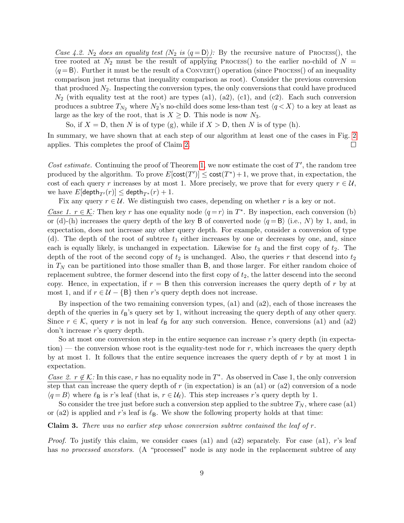Case 4.2. N<sub>2</sub> does an equality test  $(N_2 \text{ is } \langle q = \mathsf{D} \rangle)$ : By the recursive nature of Process(), the tree rooted at  $N_2$  must be the result of applying Process() to the earlier no-child of  $N =$  $(q = B)$ . Further it must be the result of a CONVERT() operation (since PROCESS() of an inequality comparison just returns that inequality comparison as root). Consider the previous conversion that produced  $N_2$ . Inspecting the conversion types, the only conversions that could have produced  $N_2$  (with equality test at the root) are types (a1), (a2), (c1), and (c2). Each such conversion produces a subtree  $T_{N_2}$  where  $N_2$ 's no-child does some less-than test  $\langle q \langle X \rangle$  to a key at least as large as the key of the root, that is  $X \geq D$ . This node is now  $N_3$ .

So, if  $X = D$ , then N is of type (g), while if  $X > D$ , then N is of type (h).

In summary, we have shown that at each step of our algorithm at least one of the cases in Fig. [2](#page-6-0) applies. This completes the proof of Claim [2.](#page-7-0)  $\Box$ 

Cost estimate. Continuing the proof of Theorem [1,](#page-4-0) we now estimate the cost of  $T'$ , the random tree produced by the algorithm. To prove  $E[\text{cost}(T')] \leq \text{cost}(T^*) + 1$ , we prove that, in expectation, the cost of each query r increases by at most 1. More precisely, we prove that for every query  $r \in \mathcal{U}$ , we have  $E[\text{depth}_{T'}(r)] \leq \text{depth}_{T^*}(r) + 1$ .

Fix any query  $r \in \mathcal{U}$ . We distinguish two cases, depending on whether r is a key or not.

Case 1.  $r \in K$ : Then key r has one equality node  $\langle q = r \rangle$  in  $T^*$ . By inspection, each conversion (b) or (d)-(h) increases the query depth of the key B of converted node  $\langle q = B \rangle$  (i.e., N) by 1, and, in expectation, does not increase any other query depth. For example, consider a conversion of type (d). The depth of the root of subtree  $t_1$  either increases by one or decreases by one, and, since each is equally likely, is unchanged in expectation. Likewise for  $t_3$  and the first copy of  $t_2$ . The depth of the root of the second copy of  $t_2$  is unchanged. Also, the queries r that descend into  $t_2$ in  $T_N$  can be partitioned into those smaller than B, and those larger. For either random choice of replacement subtree, the former descend into the first copy of  $t_2$ , the latter descend into the second copy. Hence, in expectation, if  $r = B$  then this conversion increases the query depth of r by at most 1, and if  $r \in \mathcal{U} - \{B\}$  then r's query depth does not increase.

By inspection of the two remaining conversion types, (a1) and (a2), each of those increases the depth of the queries in  $\ell_B$ 's query set by 1, without increasing the query depth of any other query. Since  $r \in \mathcal{K}$ , query r is not in leaf  $\ell_{\mathsf{B}}$  for any such conversion. Hence, conversions (a1) and (a2) don't increase r's query depth.

So at most one conversion step in the entire sequence can increase r's query depth (in expectation) — the conversion whose root is the equality-test node for  $r$ , which increases the query depth by at most 1. It follows that the entire sequence increases the query depth of  $r$  by at most 1 in expectation.

Case 2.  $r \notin \mathcal{K}$ : In this case, r has no equality node in T<sup>\*</sup>. As observed in Case 1, the only conversion step that can increase the query depth of r (in expectation) is an  $(a1)$  or  $(a2)$  conversion of a node  $\langle q = B \rangle$  where  $\ell_B$  is r's leaf (that is,  $r \in \mathcal{U}_\ell$ ). This step increases r's query depth by 1.

So consider the tree just before such a conversion step applied to the subtree  $T_N$ , where case (a1) or (a2) is applied and r's leaf is  $\ell_{\mathsf{B}}$ . We show the following property holds at that time:

**Claim 3.** There was no earlier step whose conversion subtree contained the leaf of  $r$ .

*Proof.* To justify this claim, we consider cases (a1) and (a2) separately. For case (a1), r's leaf has no processed ancestors. (A "processed" node is any node in the replacement subtree of any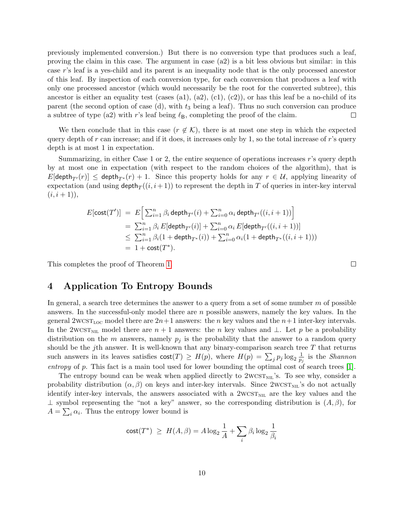previously implemented conversion.) But there is no conversion type that produces such a leaf, proving the claim in this case. The argument in case (a2) is a bit less obvious but similar: in this case r's leaf is a yes-child and its parent is an inequality node that is the only processed ancestor of this leaf. By inspection of each conversion type, for each conversion that produces a leaf with only one processed ancestor (which would necessarily be the root for the converted subtree), this ancestor is either an equality test (cases (a1), (a2), (c1), (c2)), or has this leaf be a no-child of its parent (the second option of case (d), with  $t_3$  being a leaf). Thus no such conversion can produce a subtree of type (a2) with r's leaf being  $\ell_{\rm B}$ , completing the proof of the claim.  $\Box$ 

We then conclude that in this case  $(r \notin \mathcal{K})$ , there is at most one step in which the expected query depth of r can increase; and if it does, it increases only by 1, so the total increase of r's query depth is at most 1 in expectation.

Summarizing, in either Case 1 or 2, the entire sequence of operations increases r's query depth by at most one in expectation (with respect to the random choices of the algorithm), that is  $E[\text{depth}_{T'}(r)] \leq \text{depth}_{T^*}(r) + 1$ . Since this property holds for any  $r \in U$ , applying linearity of expectation (and using  $\text{depth}_T((i, i + 1))$  to represent the depth in T of queries in inter-key interval  $(i, i + 1)$ ,

$$
E[\text{cost}(T')] = E\Big[\sum_{i=1}^{n} \beta_i \text{depth}_{T'}(i) + \sum_{i=0}^{n} \alpha_i \text{ depth}_{T'}((i, i+1))\Big]
$$
  
=  $\sum_{i=1}^{n} \beta_i E[\text{depth}_{T'}(i)] + \sum_{i=0}^{n} \alpha_i E[\text{depth}_{T'}((i, i+1))]$   
 $\leq \sum_{i=1}^{n} \beta_i (1 + \text{depth}_{T^*}(i)) + \sum_{i=0}^{n} \alpha_i (1 + \text{depth}_{T^*}((i, i+1)))$   
= 1 + cost(T<sup>\*</sup>).

This completes the proof of Theorem [1.](#page-4-0)

## <span id="page-9-0"></span>4 Application To Entropy Bounds

In general, a search tree determines the answer to a query from a set of some number  $m$  of possible answers. In the successful-only model there are  $n$  possible answers, namely the key values. In the general  $2WCST<sub>LOC</sub>$  model there are  $2n+1$  answers: the n key values and the  $n+1$  inter-key intervals. In the 2wcst<sub>NIL</sub> model there are  $n + 1$  answers: the n key values and ⊥. Let p be a probability distribution on the m answers, namely  $p_i$  is the probability that the answer to a random query should be the j<sup>th</sup> answer. It is well-known that any binary-comparison search tree  $T$  that returns such answers in its leaves satisfies  $\text{cost}(T) \geq H(p)$ , where  $H(p) = \sum_j p_j \log_2 \frac{1}{p_j}$  $\frac{1}{p_j}$  is the *Shannon* entropy of p. This fact is a main tool used for lower bounding the optimal cost of search trees [\[1\]](#page-11-12).

The entropy bound can be weak when applied directly to  $2wcsr_{\text{NL}}$ 's. To see why, consider a probability distribution  $(\alpha, \beta)$  on keys and inter-key intervals. Since  $2wcsr_{\text{NL}}$ 's do not actually identify inter-key intervals, the answers associated with a  $2West_{NIL}$  are the key values and the  $\perp$  symbol representing the "not a key" answer, so the corresponding distribution is  $(A, \beta)$ , for  $A = \sum_i \alpha_i$ . Thus the entropy lower bound is

$$
\mathsf{cost}(T^*) \ \geq \ H(A,\beta) = A \log_2 \frac{1}{A} + \sum_i \beta_i \log_2 \frac{1}{\beta_i}
$$

 $\Box$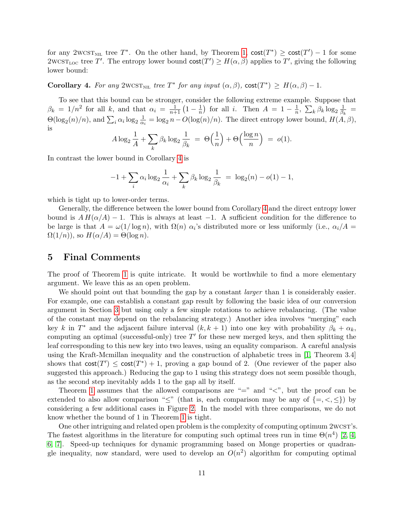for any 2WCST<sub>NIL</sub> tree  $T^*$ . On the other hand, by Theorem [1,](#page-4-0)  $cost(T^*) \geq cost(T') - 1$  for some  $2{\rm wCST}_{\rm LOC}$  tree T'. The entropy lower bound  $\text{cost}(T') \geq H(\alpha, \beta)$  applies to T', giving the following lower bound:

<span id="page-10-1"></span>Corollary 4. For any 2WCST<sub>NIL</sub> tree  $T^*$  for any input  $(\alpha, \beta)$ , cost $(T^*) \geq H(\alpha, \beta) - 1$ .

To see that this bound can be stronger, consider the following extreme example. Suppose that  $\beta_k = 1/n^2$  for all k, and that  $\alpha_i = \frac{1}{n+1} \left(1 - \frac{1}{n}\right)$  $\frac{1}{n}$  for all *i*. Then  $A = 1 - \frac{1}{n}$  $\frac{1}{n}$ ,  $\sum_{k} \beta_{k} \log_{2} \frac{1}{\beta_{k}}$  $\frac{1}{\beta_k}$  =  $\Theta(\log_2(n)/n)$ , and  $\sum_i \alpha_i \log_2 \frac{1}{\alpha_i}$  $\frac{1}{\alpha_i} = \log_2 n - O(\log(n)/n)$ . The direct entropy lower bound,  $H(A, \beta)$ , is

$$
A \log_2 \frac{1}{A} + \sum_k \beta_k \log_2 \frac{1}{\beta_k} = \Theta\left(\frac{1}{n}\right) + \Theta\left(\frac{\log n}{n}\right) = o(1).
$$

In contrast the lower bound in Corollary [4](#page-10-1) is

$$
-1 + \sum_{i} \alpha_i \log_2 \frac{1}{\alpha_i} + \sum_{k} \beta_k \log_2 \frac{1}{\beta_k} = \log_2(n) - o(1) - 1,
$$

which is tight up to lower-order terms.

Generally, the difference between the lower bound from Corollary [4](#page-10-1) and the direct entropy lower bound is  $AH(\alpha/A) - 1$ . This is always at least -1. A sufficient condition for the difference to be large is that  $A = \omega(1/\log n)$ , with  $\Omega(n)$   $\alpha_i$ 's distributed more or less uniformly (i.e.,  $\alpha_i/A$ )  $\Omega(1/n)$ , so  $H(\alpha/A) = \Theta(\log n)$ .

#### <span id="page-10-0"></span>5 Final Comments

The proof of Theorem [1](#page-4-0) is quite intricate. It would be worthwhile to find a more elementary argument. We leave this as an open problem.

We should point out that bounding the gap by a constant *larger* than 1 is considerably easier. For example, one can establish a constant gap result by following the basic idea of our conversion argument in Section [3](#page-4-1) but using only a few simple rotations to achieve rebalancing. (The value of the constant may depend on the rebalancing strategy.) Another idea involves "merging" each key k in  $T^*$  and the adjacent failure interval  $(k, k + 1)$  into one key with probability  $\beta_k + \alpha_k$ , computing an optimal (successful-only) tree  $T'$  for these new merged keys, and then splitting the leaf corresponding to this new key into two leaves, using an equality comparison. A careful analysis using the Kraft-Mcmillan inequality and the construction of alphabetic trees in [\[1,](#page-11-12) Theorem 3.4] shows that  $cost(T') \leq cost(T^*) + 1$ , proving a gap bound of 2. (One reviewer of the paper also suggested this approach.) Reducing the gap to 1 using this strategy does not seem possible though, as the second step inevitably adds 1 to the gap all by itself.

Theorem [1](#page-4-0) assumes that the allowed comparisons are " $=$ " and " $\lt$ ", but the proof can be extended to also allow comparison " $\leq$ " (that is, each comparison may be any of  $\{=,<,\leq\}$ ) by considering a few additional cases in Figure [2.](#page-6-0) In the model with three comparisons, we do not know whether the bound of 1 in Theorem [1](#page-4-0) is tight.

One other intriguing and related open problem is the complexity of computing optimum 2wcst's. The fastest algorithms in the literature for computing such optimal trees run in time  $\Theta(n^4)$  [\[2,](#page-11-0) [4,](#page-11-1) [6,](#page-11-2) [7\]](#page-11-3). Speed-up techniques for dynamic programming based on Monge properties or quadrangle inequality, now standard, were used to develop an  $O(n^2)$  algorithm for computing optimal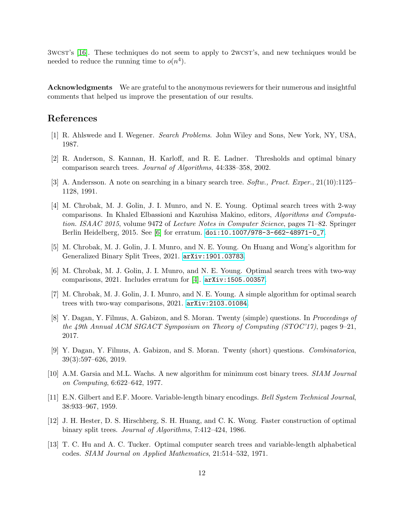3wcst's [\[16\]](#page-12-0). These techniques do not seem to apply to 2wcst's, and new techniques would be needed to reduce the running time to  $o(n^4)$ .

Acknowledgments We are grateful to the anonymous reviewers for their numerous and insightful comments that helped us improve the presentation of our results.

### References

- <span id="page-11-12"></span>[1] R. Ahlswede and I. Wegener. Search Problems. John Wiley and Sons, New York, NY, USA, 1987.
- <span id="page-11-0"></span>[2] R. Anderson, S. Kannan, H. Karloff, and R. E. Ladner. Thresholds and optimal binary comparison search trees. Journal of Algorithms, 44:338–358, 2002.
- <span id="page-11-4"></span>[3] A. Andersson. A note on searching in a binary search tree. Softw., Pract. Exper., 21(10):1125– 1128, 1991.
- <span id="page-11-1"></span>[4] M. Chrobak, M. J. Golin, J. I. Munro, and N. E. Young. Optimal search trees with 2-way comparisons. In Khaled Elbassioni and Kazuhisa Makino, editors, Algorithms and Computation. ISAAC 2015, volume 9472 of Lecture Notes in Computer Science, pages 71–82. Springer Berlin Heidelberg, 2015. See [\[6\]](#page-11-2) for erratum. [doi:10.1007/978-3-662-48971-0\\_7](https://doi.org/10.1007/978-3-662-48971-0_7).
- <span id="page-11-6"></span>[5] M. Chrobak, M. J. Golin, J. I. Munro, and N. E. Young. On Huang and Wong's algorithm for Generalized Binary Split Trees, 2021. [arXiv:1901.03783](http://arxiv.org/abs/1901.03783).
- <span id="page-11-2"></span>[6] M. Chrobak, M. J. Golin, J. I. Munro, and N. E. Young. Optimal search trees with two-way comparisons, 2021. Includes erratum for [\[4\]](#page-11-1). [arXiv:1505.00357](http://arxiv.org/abs/1505.00357).
- <span id="page-11-3"></span>[7] M. Chrobak, M. J. Golin, J. I. Munro, and N. E. Young. A simple algorithm for optimal search trees with two-way comparisons, 2021. [arXiv:2103.01084](http://arxiv.org/abs/2103.01084).
- <span id="page-11-9"></span>[8] Y. Dagan, Y. Filmus, A. Gabizon, and S. Moran. Twenty (simple) questions. In Proceedings of the 49th Annual ACM SIGACT Symposium on Theory of Computing (STOC'17), pages 9–21, 2017.
- <span id="page-11-10"></span>[9] Y. Dagan, Y. Filmus, A. Gabizon, and S. Moran. Twenty (short) questions. Combinatorica, 39(3):597–626, 2019.
- <span id="page-11-8"></span>[10] A.M. Garsia and M.L. Wachs. A new algorithm for minimum cost binary trees. SIAM Journal on Computing, 6:622–642, 1977.
- <span id="page-11-11"></span>[11] E.N. Gilbert and E.F. Moore. Variable-length binary encodings. Bell System Technical Journal, 38:933–967, 1959.
- <span id="page-11-5"></span>[12] J. H. Hester, D. S. Hirschberg, S. H. Huang, and C. K. Wong. Faster construction of optimal binary split trees. Journal of Algorithms, 7:412–424, 1986.
- <span id="page-11-7"></span>[13] T. C. Hu and A. C. Tucker. Optimal computer search trees and variable-length alphabetical codes. SIAM Journal on Applied Mathematics, 21:514–532, 1971.